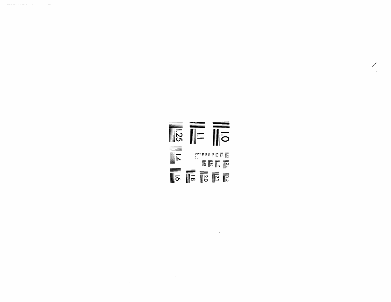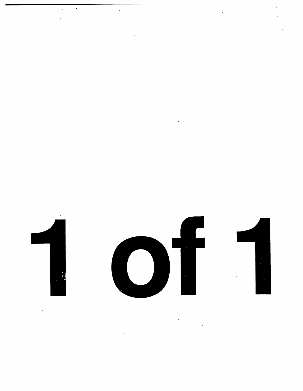



 $\label{eq:2} \frac{1}{\sqrt{2}}\int_{0}^{\infty}\frac{1}{\sqrt{2\pi}}\left(\frac{1}{\sqrt{2\pi}}\right)^{2}d\mu_{\rm{eff}}\,d\mu_{\rm{eff}}$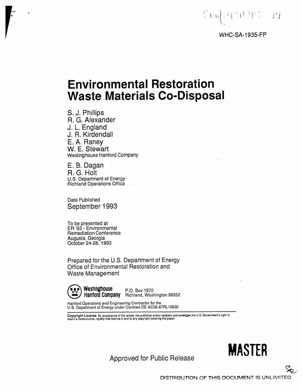

**WHC-SA-1935-FP** 

# **Environmental Restoration Waste Materials Co-Disposal**

S. J. Phillips R. G. Alexander J. L. England J. R. Kirdendall E. A. Raney W. E. Stewart **Westinghouse Hanford Company** 

E. B. Dagan R. G. Holt U.S. Department of Energy-**Richland Operations Office** 

Date Published September 1993

To be presented at ER '93 - Environmental **Remediation Conference** Augusta, Georgia October 24-28, 1993

Prepared for the U.S. Department of Energy Office of Environmental Restoration and **Waste Management** 



P.O. Box 1970 Hanford Company Richland, Washington 99352

Hanford Operations and Engineering Contractor for the<br>U.S. Department of Energy under Contract DE-AC06-87RL10930

Copyright License By acceptance of this article, the publisher and/or recipient acknowledges the U.S. Government's right to retain a nonexclusive, royalty-free license in and to any copyright covering this paper.



Approved for Public Release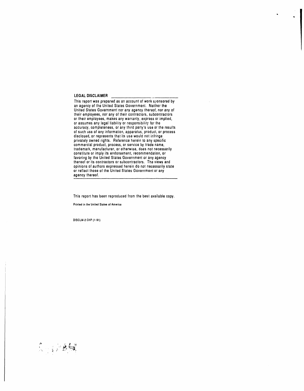### **LEGAL DISCLAIMER**

This report was prepared as an account of work sponsored by an agency of the United States Government. Neither the United States Government nor any agency thereof, nor any of their employees, nor any of their contractors, subcontractors or their employees, makes any warranty, express or implied, or assumes any legal liability or responsibility for the accuracy, completeness, or any third party's use or the results of such use of any information, apparatus, product, or process disclosed, or represents that its use would not infringe<br>privately owned rights. Reference herein to any specific commercial product, process, or service by trade name, trademark, manufacturer, or otherwise, does not necessarily constitute or imply its endorsement, recommendation, or favoring by the United States Government or any agency thereof or its contractors or subcontractors. The views and opinions of authors expressed herein do not necessarily state or reflect those of the United States Government or any agency thereof.

This report has been reproduced from the best available copy.

Printed in the United States of America

DISCLM-2.CHP (1-91)

美国爱尔兰教的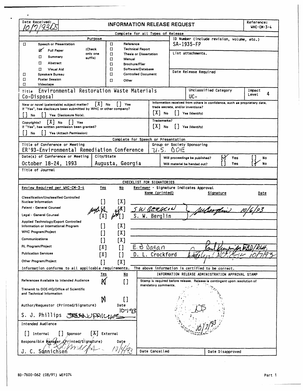| Date Received:<br>Reference:<br><b>INFORMATION RELEASE REQUEST</b><br>WHC-CM-3-4                                                                                        |                                                                                                                        |                                                                                                                                              |                                                            |                  |          |
|-------------------------------------------------------------------------------------------------------------------------------------------------------------------------|------------------------------------------------------------------------------------------------------------------------|----------------------------------------------------------------------------------------------------------------------------------------------|------------------------------------------------------------|------------------|----------|
| Complete for all Types of Release                                                                                                                                       |                                                                                                                        |                                                                                                                                              |                                                            |                  |          |
| Purpose<br>U.<br>Speech or Presentation<br>(Check<br>u.<br><b>Full Paper</b>                                                                                            | Reference<br>IJ<br>IJ<br>Technical Report<br>n<br>Thesis or Dissertation<br>IJ<br>Manual<br>n<br><b>Brochure/Flier</b> |                                                                                                                                              | ID Number (include revision, volume, etc.)<br>$SA-1935-FP$ |                  |          |
| only one<br>o<br>Summary<br>suffix)<br>n<br>Abstract                                                                                                                    |                                                                                                                        |                                                                                                                                              | List attachments.                                          |                  |          |
| n<br>Visual Aid<br>Speakers Bureau<br>IJ<br>IJ<br><b>Poster Session</b><br>n<br>Videotape                                                                               | IJ<br>Software/Database<br>Ľ1<br><b>Controlled Document</b><br>n<br>Other                                              |                                                                                                                                              | Date Release Required                                      |                  |          |
| Environmental Restoration Waste Materials<br>Title<br>Co-Disposal                                                                                                       |                                                                                                                        |                                                                                                                                              | Unclassified Category<br>Impact<br>4<br>Level<br>$UC -$    |                  |          |
| $ X $ No<br>New or novel (patentable) subject matter?<br>If "Yes", has disclosure been submitted by WHC or other company?<br>Ves Disclosure No(s).<br>No                | ∣∣ Yes                                                                                                                 | Information received from others in confidence, such as proprietary data,<br>trade secrets, and/or inventions?<br>$[X]$ No<br>Yes (Identify) |                                                            |                  |          |
| Trademarks?<br>$[X]$ No<br>│ │ Yes<br>Copyrights?<br>$[X]$ No<br>Yes (Identify)<br>If "Yes", has written permission been granted?<br>Ħ<br>Yes (Attach Permission)<br>No |                                                                                                                        |                                                                                                                                              |                                                            |                  |          |
| Complete for Speech or Presentation                                                                                                                                     |                                                                                                                        |                                                                                                                                              |                                                            |                  |          |
| Title of Conference or Meeting<br>Group or Society Sponsoring<br>ER'93-Environmental Remediation Conference<br>71.S. DOE                                                |                                                                                                                        |                                                                                                                                              |                                                            |                  |          |
| Date(s) of Conference or Meeting<br>October 18-24, 1993                                                                                                                 | City/State<br>Augusta, Georgia                                                                                         |                                                                                                                                              | Will proceedings be published?                             | Yes<br>Yes       | No<br>No |
| Will material be handed out?<br>Title of Journal                                                                                                                        |                                                                                                                        |                                                                                                                                              |                                                            |                  |          |
| CHECKLIST FOR SIGNATORIES                                                                                                                                               |                                                                                                                        |                                                                                                                                              |                                                            |                  |          |
| Review Required per WHC-CM-3-4<br><u>Yes</u><br><u>No</u><br>Reviewer - Signature Indicates Approval                                                                    |                                                                                                                        |                                                                                                                                              |                                                            |                  |          |
| Name (printed)<br><u>Signature</u><br>Date<br><b>Classification/Unclassified Controlled</b><br>[X]<br>$\lceil$ ]<br>Nuclear Information                                 |                                                                                                                        |                                                                                                                                              |                                                            |                  |          |
| Patent - General Counsel                                                                                                                                                |                                                                                                                        | SW BERGLIN<br>Juberdin                                                                                                                       |                                                            |                  |          |
| Legal - General Counsel                                                                                                                                                 |                                                                                                                        | S. W. Berglin                                                                                                                                |                                                            |                  |          |
| <b>Applied Technology/Export Controlled</b><br>Information or International Program                                                                                     | [X]                                                                                                                    |                                                                                                                                              |                                                            |                  |          |
| WHC Program/Project                                                                                                                                                     | [X]                                                                                                                    |                                                                                                                                              |                                                            |                  |          |
| Communications                                                                                                                                                          | [X]                                                                                                                    |                                                                                                                                              |                                                            |                  |          |
| RL Program/Project<br>[X]                                                                                                                                               | $\mathfrak l$                                                                                                          | E. B. Dagan                                                                                                                                  |                                                            |                  |          |
| <b>Publication Services</b><br>I X I                                                                                                                                    | $\mathfrak{g}$                                                                                                         | D. L. Crockford                                                                                                                              |                                                            |                  |          |
| Other Program/Project<br>[X]                                                                                                                                            |                                                                                                                        |                                                                                                                                              |                                                            |                  |          |
| The above information is certified to be correct.<br>Information conforms to all applicable requirements.                                                               |                                                                                                                        |                                                                                                                                              |                                                            |                  |          |
| M<br>References Available to Intended Audience                                                                                                                          | <u>No</u><br><u>Yes</u><br>$\mathbf{I}$                                                                                | INFORMATION RELEASE ADMINISTRATION APPROVAL STAMP<br>Stamp is required before release. Release is contingent upon resolution of              |                                                            |                  |          |
| Transmit to DOE-HQ/Office of Scientific<br>and Technical Information                                                                                                    |                                                                                                                        | mandatory comments.                                                                                                                          |                                                            |                  |          |
| Ŋ<br>Author/Requestor (Printed/Signature)                                                                                                                               | []<br>Date                                                                                                             |                                                                                                                                              |                                                            |                  |          |
| S. J. Phillips JESAL/PAICUS                                                                                                                                             | 10-1-93                                                                                                                |                                                                                                                                              |                                                            |                  |          |
| Intended Audience                                                                                                                                                       |                                                                                                                        |                                                                                                                                              |                                                            |                  |          |
| $[X]$ External<br>$\Box$<br>Internal<br>Sponsor<br>Responsible Mapager Printed/Signature)<br>Date                                                                       |                                                                                                                        |                                                                                                                                              |                                                            |                  |          |
|                                                                                                                                                                         |                                                                                                                        |                                                                                                                                              |                                                            |                  |          |
| J. C. Sannichsen                                                                                                                                                        |                                                                                                                        | Date Cancelled                                                                                                                               |                                                            | Date Disapproved |          |

 $\bullet$ 

 $\sim 10^{-10}$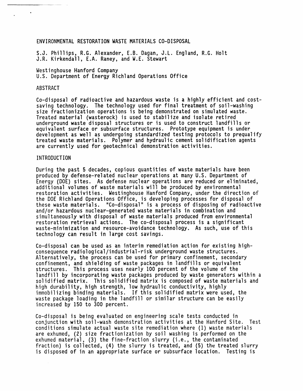### ENVIRONMENTAL RESTORATION WASTE MATERIALS CO-DISPOSAL

S.J. Phillips, R.G. Alexander, E.B. Dagan, J.L. England, R.G. Holt J.R. Kirkendall, E.A. Raney, and W.E. Stewart

Westinghouse Hanford Company U.S. Department of Energy Richland Operations Office

### ABSTRACT

i

 $\bullet$ 

Co-disposal of radioactive and hazardous waste is a highly efficient and costsaving technology. The technology used for final treatment of soil-washing size fractionization operations is being demonstrated on simulated waste. Treated material (wasterock) is used to stabilize and isolate retired underground waste disposal structures or is used to construct landfills or equivalent surface or subsurface structures. Prototype equipment is under development as well as undergoing standardized testing protocols to prequalify treated waste materials. Polymer and hydraulic cement solidification agents are currently used for geotechnical demonstration activities.

### INTRODUCTION

During the past 5 decades, copious quantities of waste materials have been produced by defense-related nuclear operations at many U.S. Department of Energy (DOE) sites. As defense nuclear operations are reduced or eliminated. additional volumes of waste materials will be produced by environmental restoration activities. Westinghouse Hanford Company, under the direction of the DOE Richland Operations Office, is developing processes for disposal of these waste materials. "Co-disposal" is a process of disposing of radioactive and/or hazardous nuclear-generated waste materials in combination and simultaneously with disposal of waste materials produced from environmental restoration retrieval actions. The co-disposal process is a significant waste-minimization and resource-avoidance technology. As such, use of this technologycan result in large cost savings.

Co-disposal can be used as an interim remediation action for existing highconsequence radiological/industrial-risk underground waste structures. Alternatively, the process can be used for primary confinement, secondary confinement, and shielding of waste packages in landfills or equivalent structures. This process uses nearly 100 percent of the volume of the landfill by incorporating waste packages produced by waste generators within a solidified matrix. This solidified matrix is composed of waste materials and high durability, high strength, low hydraulic conductivity, highly immobilizing binding materials. If this solidified matrix were used, the waste package loading in the landfill or similar structure can be easily increased by 150 to 300 percent.

Co-disposal is being evaluated on engineering scale tests conducted in conjunction with soil-wash demonstration activities at the Hanford Site. Test conditions simulate actual waste site remediation where (1) waste materials are exhumed, (2) size fractionization by soil washing is performed on the exhumed material, (3) the fine-fraction slurry (i.e., the contaminated fraction) is collected, (4) the slurry is treated, and (5) the treated slurry is disposed of in an appropriate surface or subsurface location. Testing is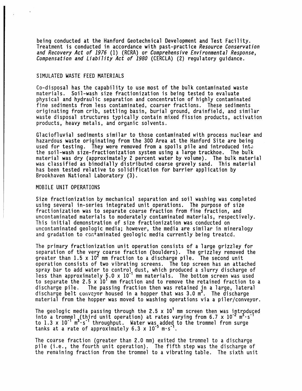being conducted at the Hanford Geotechnical Development and Test Facility. Treatment is conducted in accordance with past-practice Resource Conservation and Recovery Act of 1976 (1) (RCRA) or Comprehensive Environmental Response, Compensation and Liability Act of 1980 (CERCLA) (2) regulatory guidance.

### SIMULATED WASTE FEED MATERIALS

Co-disposal has the capability to use most of the bulk contaminated waste materials. Soil-wash size fractionization is being tested to evaluate physical and hydraulic separation and concentration of highly contaminated fine sediments from less contaminated, coarser fractions. These sediments originating from crib, settling basin, burial ground, drainfield, and similar waste disposal structures typically contain mixed fission products. activation products, heavy metals, and organic solvents.

Glaciofluvial sediments similar to those contaminated with process nuclear and hazardous waste originating from the 300 Area at the Hanford Site are being used for testing. They were removed from a spoils pile and introduced into the soil-wash size-fractionization system using a large trackhoe. The bulk material was dry (approximately 2 percent water by volume). The bulk material was classified as bimodially distributed coarse gravely sand. This material has been tested relative to solidification for barrier application by Brookhaven National Laboratory (3).

### MOBILE UNIT OPERATIONS

Size fractionization by mechanical separation and soil washing was completed using several in-series integrated unit operations. The purpose of size fractionization was to separate coarse fraction from fine fraction, and uncontaminated materials to moderately contaminated materials, respectively. This initial demonstration of size fractionization was conducted on uncontaminated geologic media; however, the media are similar in mineralogy and gradation to contaminated geologic media currently being treated.

The primary fractionization unit operation consists of a large grizzley for separation of the very coarse fraction (boulders). The grizzley removed the greater than 1.5 x  $10^2$  mm fraction to a discharge pile. The second unit operation consists of two vibrating screens. The top screen has an attached spray bar to add water to control dust, which produced a slurry discharge of<br>less than approximately  $5.0 \times 10^{-1}$  mm materials. The bottom screen was used<br>to separate the  $2.5 \times 10^{1}$  mm fraction and to remove the retai discharge pile. The passing fraction then was retained in a large, lateral discharge belt conveyor housed in a hopper that was 3.0 m<sup>3</sup>. The discharge material from the hopper was moved to washing operations via a piler/conveyor.

The geologic media passing through the 2.5 x  $10^1$  mm screen then was introduced into a trommel (third unit operation) at rates varying from 6.7 x  $10^{-2}$  m<sup>3</sup>·s to 1.3 x  $10^{-1}$   $m^3$  s<sup>-1</sup> throughput. Water was added to the trommel from surge tanks at a rate of approximately 6.3 x  $10^{-5}$  m·s<sup>-1</sup>.

The coarse fraction (greater than 2.0 mm) exited the trommel to a discharge pile (i.e., the fourth unit operation). The fifth step was the discharge of<br>the remaining fraction from the trommel to a vibrating table. The sixth unit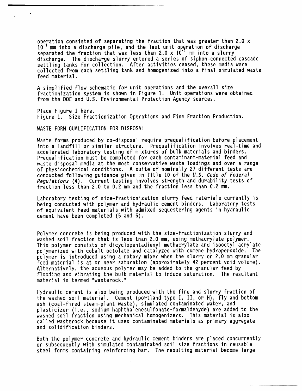operation consisted of separating the fraction that was greater than 2.0  $\times$  10<sup>-1</sup> mm into a discharge 10"Imm into a dischargepile, and the last unit operationof discharge separated the fraction that was less than 2.0 x I0" mm into a slurry discharge. The discharge slurry entered a series of siphon-connected cascade settling tanks for collection. After activities ceased, these media were collected from each settling tank and homogenized into a final simulated waste feed material.

A simplified flow schematic for unit operations and the overall size fractionization system is shown in Figure 1. Unit operations were obtained from the DOE and U.S. Environmental Protection Agency sources.

Place Figure I here. Figure 1. Size Fractionization Operations and Fine Fraction Production.

WASTE FORM QUALIFICATION FOR DISPOSAL

Waste forms produced by co-disposal require prequalification before placement into a landfill or similar structure. Prequalification involves real-time and accelerated laboratory testing of mixtures of bulk materials and binders. Prequalification must be completed for each contaminant-material feed and waste disposal media at the most conservative waste loadings and over a range of physicochemical conditions. A suite of nominally 27 different tests are conducted following guidance given in Title 10 of the  $U.S.$  Code of Federal Regulations (4). Current testing involves strength and durability tests of fraction less than 2.0 to 0.2 mm and the fraction less than 0.2 mm.

Laboratory testing of size-fractionization slurry feed materials currently is being conducted with polymer and hydraulic cement binders. Laboratory tests of equivalent feed materials with admixed sequestering agents in hydraulic cement have been completed (5 and 6).

Polymer concrete is being produced with the size-fractionization slurry and washed soil fraction that is less than 2.0 mm, using methacrylate polymer. This polymer consists of dicyclopentadienyl methacrylate and isooctyl acrylate polymerized with cobalt octolate and catalyzed with cumene hydroperoxide. The polymer is introduced using a rotary mixer when the slurry or 2.0 mm granular feed material is at or near saturation (approximately 42 percent void volume). Alternatively, the aqueous polymer may be added to the granular feed by flooding and vibrating the bulk material to induce saturation. The resultant material is termed "wasterock."

Hydraulic cement is also being produced with the fine and slurry fraction of the washed soil material. Cement (portland type I, II, or H), fly and bottom ash (coal-fired steam-plant waste), simulated contaminated water, and plasticizer (i.e., sodium haphthalenesulfonate-formaldehyde) are added to the washed soil fraction using mechanical homogenizers. This material is also called wasterock because it uses contaminated materials as primary aggregate and solidification binders.

Both the polymer concrete and hydraulic cement binders are placed concurrently or subsequently with simulated contaminated soil size fractions in reusable steel forms containing reinforcing bar. The resulting material become large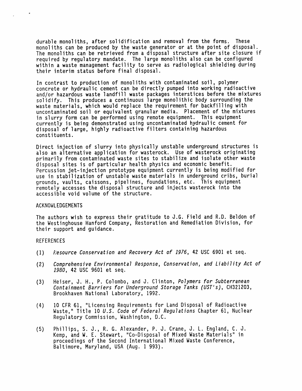durable monoliths, after solidification and removal from the forms. These monoliths can be produced by the waste generator or at the point of disposal. The monoliths can be retrieved from a disposal structure after site closure if required by regulatory mandate. The large monoliths also can be configured within a waste management facility to serve as radiological shielding during their interim status before final disposal.

In contrast to production of monoliths with contaminated soil, polymer concrete or hydraulic cement can be directly pumped into working radioactive and/or hazardous waste landfill waste packages interstices before the mixtures solidify. This produces a continuous large monolithic body surrounding the waste materials, which would replace the requirement for backfilling with uncontaminated soil or equivalent granular media. Placement of the mixtures in slurry form can be performed using remote equipment. This equipment currently is being demonstrated using uncontaminated hydraulic cement for disposal of large, highly radioactive filters containing hazardous constituents.

Direct injection of slurry into physically unstable underground structures is also an alternative application for wasterock. Use of wasterock originating primarily from contaminated waste sites to stabilize and isolate other waste disposal sites is of particular health physics and economic benefit. Percussion jet-injection prototype equipment currently is being modified for use in stabilization of unstable waste materials in underground cribs, burial grounds, vaults, caissons, pipelines, foundations, etc. This equipment remotely accesses the disposal structure and injects wasterock into the accessible void volume of the structure.

### ACKNOWLEDGEMENTS

The authors wish to express their gratitude to J.G. Field and R.D. Beldon of the Westinghouse Hanford Company, Restoration and Remediation Division, for their support and guidance.

### REFERENCES

- (1) *Fiesource Conservation and Recovery Act of 1976*, 42 USC 6901 et seq.
- (2) Comprehensive Environmental Response, Conservation, and Liability Act of 1980, 42 USC 9601 et seq.
- (3) Heiser, J. H., P. Colombo, and J. Clinton, Polymers for Subterranean Containment Barriers for Underground Storage Tanks (UST's), CH321203, Brookhaven National Laboratory, 1992.
- (4) 10 CFR 61, "Licensing Requirements for Land Disposal of Radioactive Waste," Title 10  $U.S.$  Code of Federal Regulations Chapter 61, Nuclear Regulatory Commission, Washington, D.C.
- (5) Phillips,S. J., R. G. Alexander,P. J. Crane, J. L. England,C. J. Kemp, and W. E. Stewart, "Co-Disposalof Mixed Waste Materials"in proceedings of the Second International Mixed Waste Conference, Baltimore, Maryland, USA (Aug. 1 993).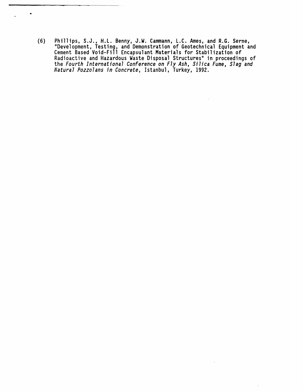Phillips, S.J., H.L. Benny, J.W. Cammann, L.C. Ames, and R.G. Serne, "Development, Testing, and Demonstration of Geotechnical Equipment and Cement Based Void-Fill Encapsulant Materials for Stabilization of Radioactive and  $(6)$ 

 $\Delta$ 

 $\bar{z}$ 

 $\bullet$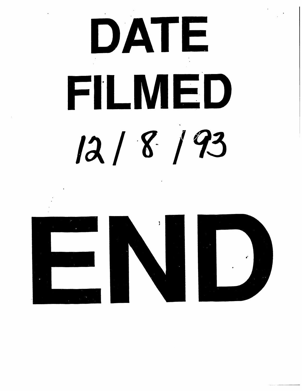# DATE FILMED 12/8/93